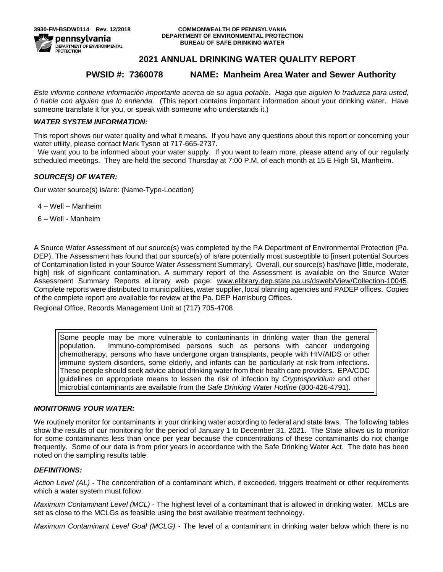# **2021 ANNUAL DRINKING WATER QUALITY REPORT**

# **PWSID #: 7360078 NAME: Manheim Area Water and Sewer Authority**

*Este informe contiene información importante acerca de su agua potable. Haga que alguien lo traduzca para usted, ó hable con alguien que lo entienda.* (This report contains important information about your drinking water. Have someone translate it for you, or speak with someone who understands it.)

## *WATER SYSTEM INFORMATION:*

This report shows our water quality and what it means. If you have any questions about this report or concerning your water utility, please contact Mark Tyson at 717-665-2737.

We want you to be informed about your water supply. If you want to learn more, please attend any of our regularly scheduled meetings. They are held the second Thursday at 7:00 P.M. of each month at 15 E High St, Manheim.

# *SOURCE(S) OF WATER:*

Our water source(s) is/are: (Name-Type-Location)

- 4 Well Manheim
- 6 Well Manheim

A Source Water Assessment of our source(s) was completed by the PA Department of Environmental Protection (Pa. DEP). The Assessment has found that our source(s) of is/are potentially most susceptible to [insert potential Sources of Contamination listed in your Source Water Assessment Summary]. Overall, our source(s) has/have [little, moderate, high] risk of significant contamination. A summary report of the Assessment is available on the Source Water Assessment Summary Reports eLibrary web page: [www.elibrary.dep.state.pa.us/dsweb/View/Collection-10045.](http://www.elibrary.dep.state.pa.us/dsweb/View/Collection-10045) Complete reports were distributed to municipalities, water supplier, local planning agencies and PADEP offices. Copies of the complete report are available for review at the Pa. DEP Harrisburg Offices.

Regional Office, Records Management Unit at (717) 705-4708.

Some people may be more vulnerable to contaminants in drinking water than the general population. Immuno-compromised persons such as persons with cancer undergoing chemotherapy, persons who have undergone organ transplants, people with HIV/AIDS or other immune system disorders, some elderly, and infants can be particularly at risk from infections. These people should seek advice about drinking water from their health care providers. EPA/CDC guidelines on appropriate means to lessen the risk of infection by *Cryptosporidium* and other microbial contaminants are available from the *Safe Drinking Water Hotline* (800-426-4791).

### *MONITORING YOUR WATER:*

We routinely monitor for contaminants in your drinking water according to federal and state laws. The following tables show the results of our monitoring for the period of January 1 to December 31, 2021. The State allows us to monitor for some contaminants less than once per year because the concentrations of these contaminants do not change frequently. Some of our data is from prior years in accordance with the Safe Drinking Water Act. The date has been noted on the sampling results table.

### *DEFINITIONS:*

*Action Level (AL)* **-** The concentration of a contaminant which, if exceeded, triggers treatment or other requirements which a water system must follow.

*Maximum Contaminant Level (MCL)* - The highest level of a contaminant that is allowed in drinking water. MCLs are set as close to the MCLGs as feasible using the best available treatment technology.

*Maximum Contaminant Level Goal (MCLG)* - The level of a contaminant in drinking water below which there is no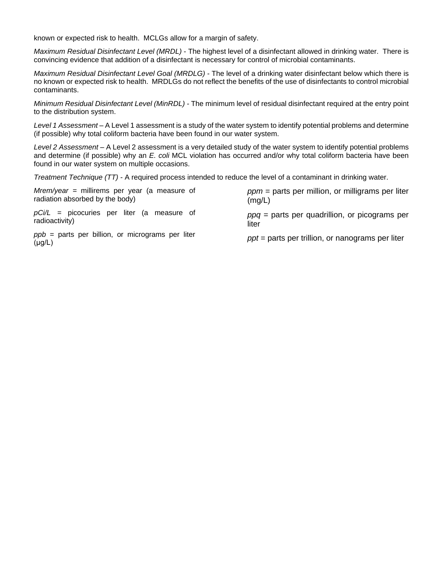known or expected risk to health. MCLGs allow for a margin of safety.

*Maximum Residual Disinfectant Level (MRDL)* - The highest level of a disinfectant allowed in drinking water. There is convincing evidence that addition of a disinfectant is necessary for control of microbial contaminants.

*Maximum Residual Disinfectant Level Goal (MRDLG)* - The level of a drinking water disinfectant below which there is no known or expected risk to health. MRDLGs do not reflect the benefits of the use of disinfectants to control microbial contaminants.

*Minimum Residual Disinfectant Level (MinRDL) -* The minimum level of residual disinfectant required at the entry point to the distribution system.

*Level 1 Assessment –* A Level 1 assessment is a study of the water system to identify potential problems and determine (if possible) why total coliform bacteria have been found in our water system.

*Level 2 Assessment –* A Level 2 assessment is a very detailed study of the water system to identify potential problems and determine (if possible) why an *E. coli* MCL violation has occurred and/or why total coliform bacteria have been found in our water system on multiple occasions.

*Treatment Technique (TT) -* A required process intended to reduce the level of a contaminant in drinking water.

| $Mrem/year = millirems per year (a measure of)$                   | $ppm$ = parts per million, or milligrams per liter |  |  |
|-------------------------------------------------------------------|----------------------------------------------------|--|--|
| radiation absorbed by the body)                                   | (mq/L)                                             |  |  |
| $pCi/L$ = picocuries per liter (a measure of                      | $ppq$ = parts per quadrillion, or picograms per    |  |  |
| radioactivity)                                                    | liter                                              |  |  |
| $ppb =$ parts per billion, or micrograms per liter<br>$(\mu g/L)$ | $ppt$ = parts per trillion, or nanograms per liter |  |  |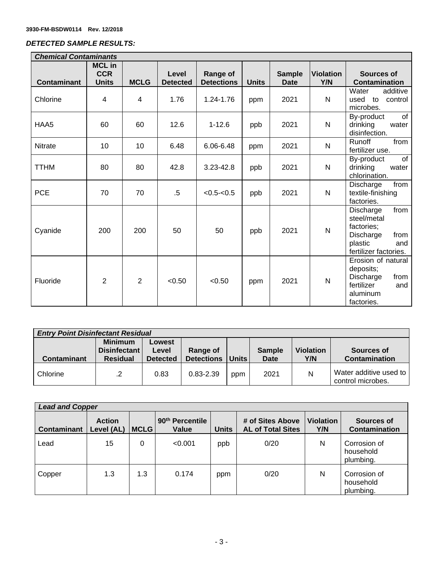$\overline{1}$ 

# *DETECTED SAMPLE RESULTS:*

| <b>Chemical Contaminants</b> |                                             |                |                          |                               |              |                              |                         |                                                                                                                |
|------------------------------|---------------------------------------------|----------------|--------------------------|-------------------------------|--------------|------------------------------|-------------------------|----------------------------------------------------------------------------------------------------------------|
| <b>Contaminant</b>           | <b>MCL in</b><br><b>CCR</b><br><b>Units</b> | <b>MCLG</b>    | Level<br><b>Detected</b> | Range of<br><b>Detections</b> | <b>Units</b> | <b>Sample</b><br><b>Date</b> | <b>Violation</b><br>Y/N | <b>Sources of</b><br><b>Contamination</b>                                                                      |
| Chlorine                     | 4                                           | $\overline{4}$ | 1.76                     | 1.24-1.76                     | ppm          | 2021                         | $\mathsf{N}$            | Water<br>additive<br>used to<br>control<br>microbes.                                                           |
| HAA5                         | 60                                          | 60             | 12.6                     | $1 - 12.6$                    | ppb          | 2021                         | $\mathsf{N}$            | of<br>By-product<br>drinking<br>water<br>disinfection.                                                         |
| Nitrate                      | 10                                          | 10             | 6.48                     | 6.06-6.48                     | ppm          | 2021                         | $\mathsf{N}$            | from<br>Runoff<br>fertilizer use.                                                                              |
| <b>TTHM</b>                  | 80                                          | 80             | 42.8                     | 3.23-42.8                     | ppb          | 2021                         | ${\sf N}$               | of<br>By-product<br>drinking<br>water<br>chlorination.                                                         |
| <b>PCE</b>                   | 70                                          | 70             | $.5\,$                   | $< 0.5 - < 0.5$               | ppb          | 2021                         | N                       | Discharge<br>from<br>textile-finishing<br>factories.                                                           |
| Cyanide                      | 200                                         | 200            | 50                       | 50                            | ppb          | 2021                         | N                       | from<br>Discharge<br>steel/metal<br>factories;<br>Discharge<br>from<br>plastic<br>and<br>fertilizer factories. |
| Fluoride                     | $\overline{2}$                              | $\overline{2}$ | < 0.50                   | < 0.50                        | ppm          | 2021                         | $\mathsf{N}$            | Erosion of natural<br>deposits;<br>from<br>Discharge<br>fertilizer<br>and<br>aluminum<br>factories.            |

| <b>Entry Point Disinfectant Residual</b> |                                |                 |                   |         |               |                  |                                             |
|------------------------------------------|--------------------------------|-----------------|-------------------|---------|---------------|------------------|---------------------------------------------|
|                                          | <b>Minimum</b><br>Disinfectant | Lowest<br>Level | Range of          |         | <b>Sample</b> | <b>Violation</b> | Sources of                                  |
| <b>Contaminant</b>                       | <b>Residual</b>                | <b>Detected</b> | <b>Detections</b> | Units I | <b>Date</b>   | Y/N              | Contamination                               |
| Chlorine                                 | $\cdot$ .2                     | 0.83            | $0.83 - 2.39$     | ppm     | 2021          | N                | Water additive used to<br>control microbes. |

| <b>Lead and Copper</b> |                             |             |                                      |              |                                              |                         |                                        |
|------------------------|-----------------------------|-------------|--------------------------------------|--------------|----------------------------------------------|-------------------------|----------------------------------------|
| <b>Contaminant</b>     | <b>Action</b><br>Level (AL) | <b>MCLG</b> | 90 <sup>th</sup> Percentile<br>Value | <b>Units</b> | # of Sites Above<br><b>AL of Total Sites</b> | <b>Violation</b><br>Y/N | Sources of<br><b>Contamination</b>     |
| Lead                   | 15                          | 0           | < 0.001                              | ppb          | 0/20                                         | N                       | Corrosion of<br>household<br>plumbing. |
| Copper                 | 1.3                         | 1.3         | 0.174                                | ppm          | 0/20                                         | N                       | Corrosion of<br>household<br>plumbing. |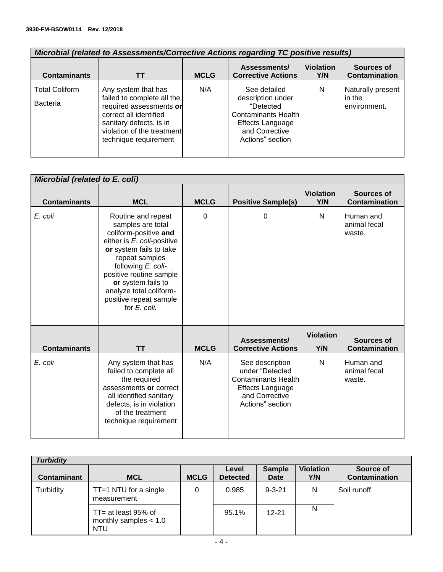| <u>MICrobial (related to Assessments/Corrective Actions regarding TC positive results)</u> |                                                                                                                                                                                          |             |                                                                                                                                        |                         |                                             |  |  |  |
|--------------------------------------------------------------------------------------------|------------------------------------------------------------------------------------------------------------------------------------------------------------------------------------------|-------------|----------------------------------------------------------------------------------------------------------------------------------------|-------------------------|---------------------------------------------|--|--|--|
| <b>Contaminants</b>                                                                        |                                                                                                                                                                                          | <b>MCLG</b> | Assessments/<br><b>Corrective Actions</b>                                                                                              | <b>Violation</b><br>Y/N | <b>Sources of</b><br><b>Contamination</b>   |  |  |  |
| <b>Total Coliform</b><br><b>Bacteria</b>                                                   | Any system that has<br>failed to complete all the<br>required assessments or<br>correct all identified<br>sanitary defects, is in<br>violation of the treatment<br>technique requirement | N/A         | See detailed<br>description under<br>"Detected<br><b>Contaminants Health</b><br>Effects Language<br>and Corrective<br>Actions" section | N                       | Naturally present<br>in the<br>environment. |  |  |  |

٦

# *Microbial (related to Assessments/Corrective Actions regarding TC positive results)*

| <b>Microbial (related to E. coli)</b> |                                                                                                                                                                                                                                                                                         |             |                                                                                                                                   |                         |                                     |
|---------------------------------------|-----------------------------------------------------------------------------------------------------------------------------------------------------------------------------------------------------------------------------------------------------------------------------------------|-------------|-----------------------------------------------------------------------------------------------------------------------------------|-------------------------|-------------------------------------|
| <b>Contaminants</b>                   | <b>MCL</b>                                                                                                                                                                                                                                                                              | <b>MCLG</b> | <b>Positive Sample(s)</b>                                                                                                         | <b>Violation</b><br>Y/N | Sources of<br><b>Contamination</b>  |
| E. coli                               | Routine and repeat<br>samples are total<br>coliform-positive and<br>either is E. coli-positive<br>or system fails to take<br>repeat samples<br>following E. coli-<br>positive routine sample<br>or system fails to<br>analyze total coliform-<br>positive repeat sample<br>for E. coli. | $\Omega$    | 0                                                                                                                                 | N                       | Human and<br>animal fecal<br>waste. |
| <b>Contaminants</b>                   | <b>TT</b>                                                                                                                                                                                                                                                                               | <b>MCLG</b> | Assessments/<br><b>Corrective Actions</b>                                                                                         | <b>Violation</b><br>Y/N | Sources of<br><b>Contamination</b>  |
| E. coli                               | Any system that has<br>failed to complete all<br>the required<br>assessments or correct<br>all identified sanitary<br>defects, is in violation<br>of the treatment<br>technique requirement                                                                                             | N/A         | See description<br>under "Detected<br><b>Contaminants Health</b><br><b>Effects Language</b><br>and Corrective<br>Actions" section | N                       | Human and<br>animal fecal<br>waste. |

| <b>Turbidity</b>   |                                                                 |             |                          |                              |                         |                                   |  |  |
|--------------------|-----------------------------------------------------------------|-------------|--------------------------|------------------------------|-------------------------|-----------------------------------|--|--|
| <b>Contaminant</b> | <b>MCL</b>                                                      | <b>MCLG</b> | Level<br><b>Detected</b> | <b>Sample</b><br><b>Date</b> | <b>Violation</b><br>Y/N | Source of<br><b>Contamination</b> |  |  |
| Turbidity          | $TT = 1 NTU$ for a single<br>measurement                        | 0           | 0.985                    | $9 - 3 - 21$                 | N                       | Soil runoff                       |  |  |
|                    | $TT = at least 95% of$<br>monthly samples $< 1.0$<br><b>NTU</b> |             | 95.1%                    | $12 - 21$                    | N                       |                                   |  |  |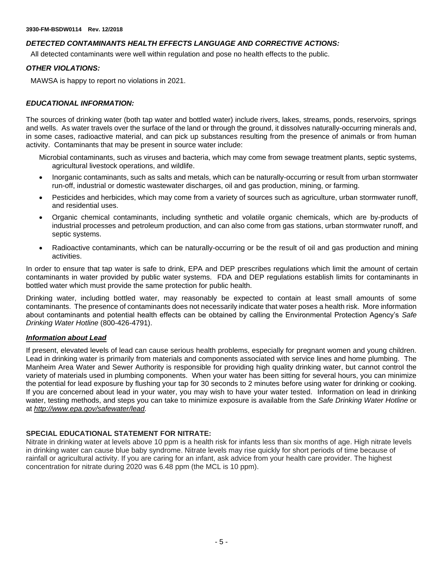# *DETECTED CONTAMINANTS HEALTH EFFECTS LANGUAGE AND CORRECTIVE ACTIONS:*

All detected contaminants were well within regulation and pose no health effects to the public.

## *OTHER VIOLATIONS:*

MAWSA is happy to report no violations in 2021.

# *EDUCATIONAL INFORMATION:*

The sources of drinking water (both tap water and bottled water) include rivers, lakes, streams, ponds, reservoirs, springs and wells. As water travels over the surface of the land or through the ground, it dissolves naturally-occurring minerals and, in some cases, radioactive material, and can pick up substances resulting from the presence of animals or from human activity. Contaminants that may be present in source water include:

Microbial contaminants, such as viruses and bacteria, which may come from sewage treatment plants, septic systems, agricultural livestock operations, and wildlife.

- Inorganic contaminants, such as salts and metals, which can be naturally-occurring or result from urban stormwater run-off, industrial or domestic wastewater discharges, oil and gas production, mining, or farming.
- Pesticides and herbicides, which may come from a variety of sources such as agriculture, urban stormwater runoff, and residential uses.
- Organic chemical contaminants, including synthetic and volatile organic chemicals, which are by-products of industrial processes and petroleum production, and can also come from gas stations, urban stormwater runoff, and septic systems.
- Radioactive contaminants, which can be naturally-occurring or be the result of oil and gas production and mining activities.

In order to ensure that tap water is safe to drink, EPA and DEP prescribes regulations which limit the amount of certain contaminants in water provided by public water systems. FDA and DEP regulations establish limits for contaminants in bottled water which must provide the same protection for public health.

Drinking water, including bottled water, may reasonably be expected to contain at least small amounts of some contaminants. The presence of contaminants does not necessarily indicate that water poses a health risk. More information about contaminants and potential health effects can be obtained by calling the Environmental Protection Agency's *Safe Drinking Water Hotline* (800-426-4791).

### *Information about Lead*

If present, elevated levels of lead can cause serious health problems, especially for pregnant women and young children. Lead in drinking water is primarily from materials and components associated with service lines and home plumbing. The Manheim Area Water and Sewer Authority is responsible for providing high quality drinking water, but cannot control the variety of materials used in plumbing components. When your water has been sitting for several hours, you can minimize the potential for lead exposure by flushing your tap for 30 seconds to 2 minutes before using water for drinking or cooking. If you are concerned about lead in your water, you may wish to have your water tested. Information on lead in drinking water, testing methods, and steps you can take to minimize exposure is available from the *Safe Drinking Water Hotline* or at *[http://www.epa.gov/safewater/lead.](http://www.epa.gov/safewater/lead)*

## **SPECIAL EDUCATIONAL STATEMENT FOR NITRATE:**

Nitrate in drinking water at levels above 10 ppm is a health risk for infants less than six months of age. High nitrate levels in drinking water can cause blue baby syndrome. Nitrate levels may rise quickly for short periods of time because of rainfall or agricultural activity. If you are caring for an infant, ask advice from your health care provider. The highest concentration for nitrate during 2020 was 6.48 ppm (the MCL is 10 ppm).